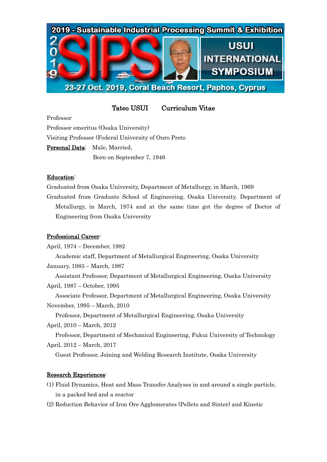

Tateo USUI Curriculum Vitae

Professor Professor emeritus (Osaka University) Visiting Professor (Federal University of Ouro Preto Personal Data: Male, Married. Born on September 7, 1946

# Education:

Graduated from Osaka University, Department of Metallurgy, in March, 1969 Graduated from Graduate School of Engineering, Osaka University, Department of Metallurgy, in March, 1974 and at the same time got the degree of Doctor of Engineering from Osaka University

# Professional Career:

April, 1974 – December, 1982 Academic staff, Department of Metallurgical Engineering, Osaka University January, 1983 – March, 1987

 Assistant Professor, Department of Metallurgical Engineering, Osaka University April, 1987 – October, 1995

 Associate Professor, Department of Metallurgical Engineering, Osaka University November, 1995 – March, 2010

 Professor, Department of Metallurgical Engineering, Osaka University April, 2010 – March, 2012

 Professor, Department of Mechanical Engineering, Fukui University of Technology April, 2012 – March, 2017

Guest Professor, Joining and Welding Research Institute, Osaka University

# Research Experiences:

- (1) Fluid Dynamics, Heat and Mass Transfer Analyses in and around a single particle, in a packed bed and a reactor
- (2) Reduction Behavior of Iron Ore Agglomerates (Pellets and Sinter) and Kinetic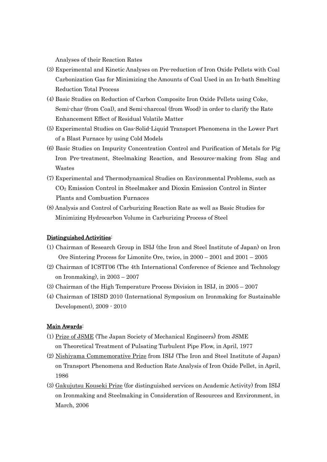Analyses of their Reaction Rates

- (3) Experimental and Kinetic Analyses on Pre-reduction of Iron Oxide Pellets with Coal Carbonization Gas for Minimizing the Amounts of Coal Used in an In-bath Smelting Reduction Total Process
- (4) Basic Studies on Reduction of Carbon Composite Iron Oxide Pellets using Coke, Semi-char (from Coal), and Semi-charcoal (from Wood) in order to clarify the Rate Enhancement Effect of Residual Volatile Matter
- (5) Experimental Studies on Gas-Solid-Liquid Transport Phenomena in the Lower Part of a Blast Furnace by using Cold Models
- (6) Basic Studies on Impurity Concentration Control and Purification of Metals for Pig Iron Pre-treatment, Steelmaking Reaction, and Resource-making from Slag and Wastes
- (7) Experimental and Thermodynamical Studies on Environmental Problems, such as CO<sup>2</sup> Emission Control in Steelmaker and Dioxin Emission Control in Sinter Plants and Combustion Furnaces
- (8) Analysis and Control of Carburizing Reaction Rate as well as Basic Studies for Minimizing Hydrocarbon Volume in Carburizing Process of Steel

### Distinguished Activities:

- (1) Chairman of Research Group in ISIJ (the Iron and Steel Institute of Japan) on Iron Ore Sintering Process for Limonite Ore, twice, in 2000 – 2001 and 2001 – 2005
- (2) Chairman of ICSTI'06 (The 4th International Conference of Science and Technology on Ironmaking), in 2003 – 2007
- (3) Chairman of the High Temperature Process Division in ISIJ, in 2005 2007
- (4) Chairman of ISISD 2010 (International Symposium on Ironmaking for Sustainable Development), 2009 - 2010

### Main Awards:

- (1) Prize of JSME (The Japan Society of Mechanical Engineers) from JSME on Theoretical Treatment of Pulsating Turbulent Pipe Flow, in April, 1977
- (2) Nishiyama Commemorative Prize from ISIJ (The Iron and Steel Institute of Japan) on Transport Phenomena and Reduction Rate Analysis of Iron Oxide Pellet, in April, 1986
- (3) Gakujutsu Kouseki Prize (for distinguished services on Academic Activity) from ISIJ on Ironmaking and Steelmaking in Consideration of Resources and Environment, in March, 2006